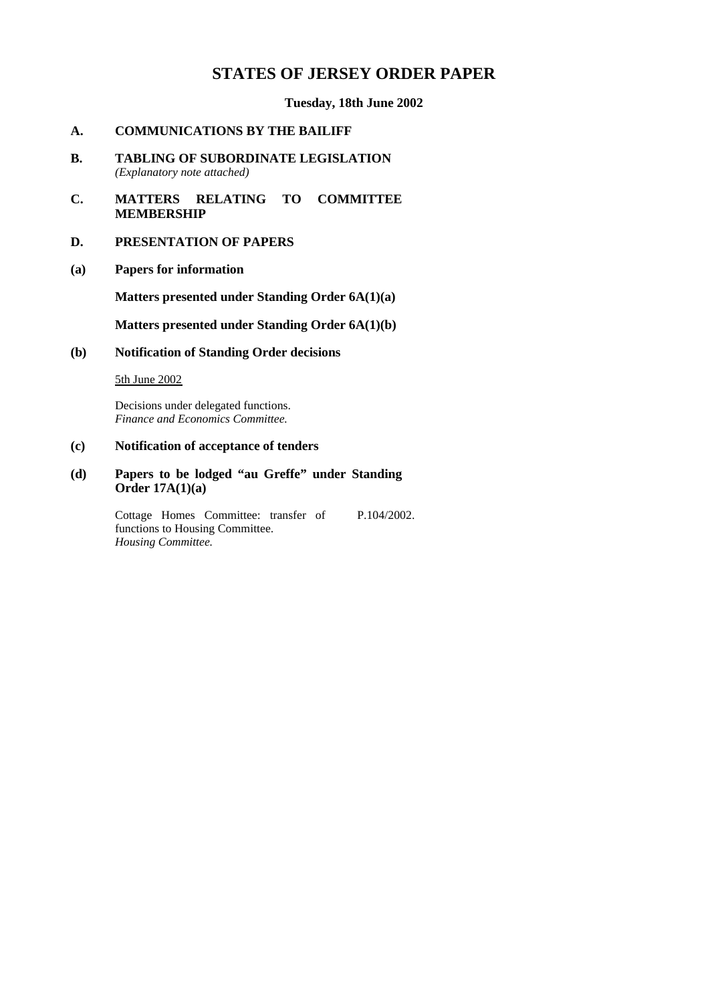# **STATES OF JERSEY ORDER PAPER**

### **Tuesday, 18th June 2002**

### **A. COMMUNICATIONS BY THE BAILIFF**

- **B. TABLING OF SUBORDINATE LEGISLATION** *(Explanatory note attached)*
- **C. MATTERS RELATING TO COMMITTEE MEMBERSHIP**

### **D. PRESENTATION OF PAPERS**

**(a) Papers for information**

**Matters presented under Standing Order 6A(1)(a)**

**Matters presented under Standing Order 6A(1)(b)**

**(b) Notification of Standing Order decisions**

### 5th June 2002

Decisions under delegated functions. *Finance and Economics Committee.*

# **(c) Notification of acceptance of tenders**

**(d) Papers to be lodged "au Greffe" under Standing Order 17A(1)(a)**

> Cottage Homes Committee: transfer of functions to Housing Committee. *Housing Committee.* P.104/2002.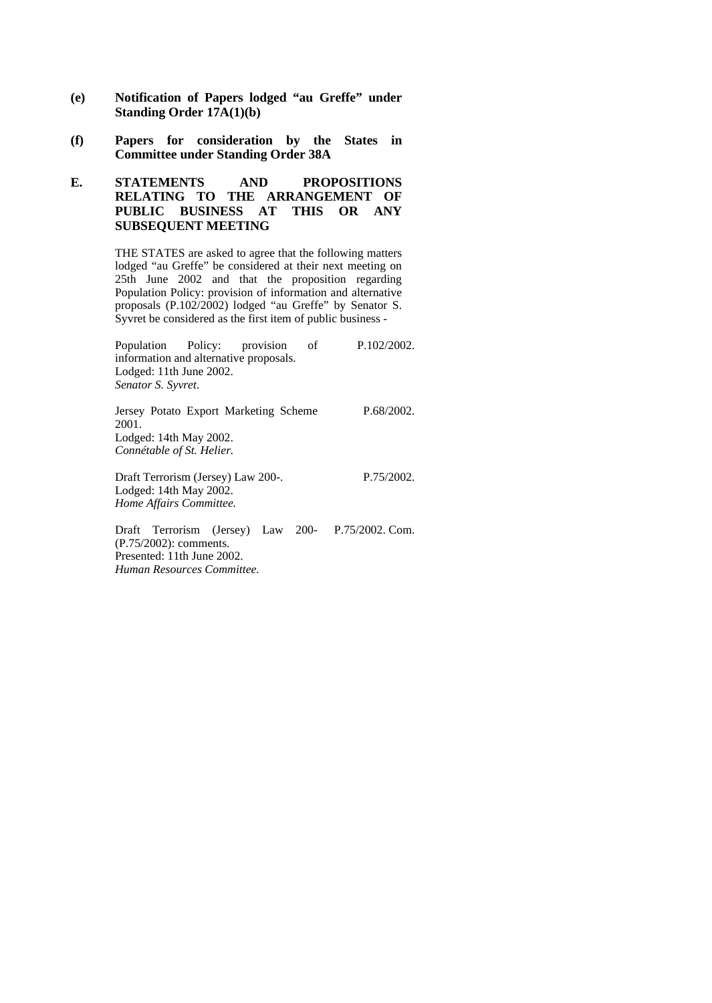- **(e) Notification of Papers lodged "au Greffe" under Standing Order 17A(1)(b)**
- **(f) Papers for consideration by the States in Committee under Standing Order 38A**

## **E. STATEMENTS AND PROPOSITIONS RELATING TO THE ARRANGEMENT OF PUBLIC BUSINESS AT THIS OR ANY SUBSEQUENT MEETING**

THE STATES are asked to agree that the following matters lodged "au Greffe" be considered at their next meeting on 25th June 2002 and that the proposition regarding Population Policy: provision of information and alternative proposals (P.102/2002) lodged "au Greffe" by Senator S. Syvret be considered as the first item of public business -

| Population Policy: provision           |  |  | of   | P.102/2002.    |
|----------------------------------------|--|--|------|----------------|
| information and alternative proposals. |  |  |      |                |
| Lodged: 11th June 2002.                |  |  |      |                |
| Senator S. Syvret.                     |  |  |      |                |
| Jersey Potato Export Marketing Scheme  |  |  |      | P.68/2002.     |
| 2001.                                  |  |  |      |                |
| Lodged: 14th May 2002.                 |  |  |      |                |
| Connétable of St. Helier.              |  |  |      |                |
| Draft Terrorism (Jersey) Law 200-.     |  |  |      | P.75/2002.     |
| Lodged: 14th May 2002.                 |  |  |      |                |
| Home Affairs Committee.                |  |  |      |                |
| $\Gamma$ raft Tarrorism (Iarsay) Law   |  |  | ാറ്റ | $D75/2002$ Com |

Draft Terrorism (Jersey) Law 200- P.75/2002. Com.(P.75/2002): comments. Presented: 11th June 2002. *Human Resources Committee.*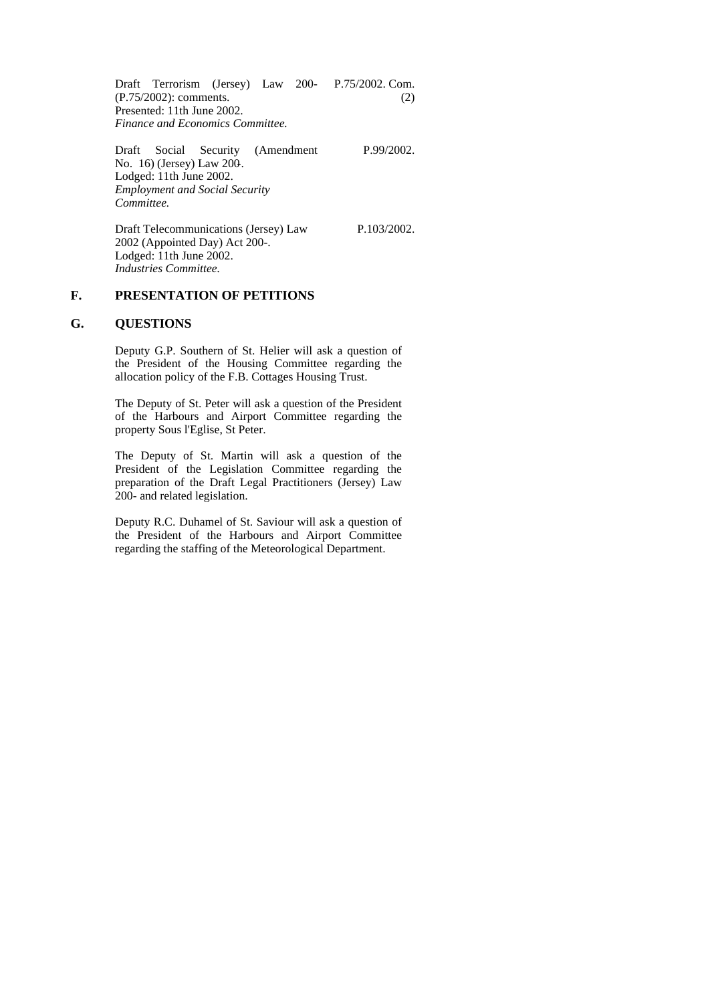Draft Terrorism (Jersey) Law 200- P.75/2002. Com. (P.75/2002): comments. Presented: 11th June 2002. *Finance and Economics Committee.* (2)

Draft Social Security (Amendment No. 16) (Jersey) Law 200-. Lodged: 11th June 2002. *Employment and Social Security Committee.*

P.99/2002.

P.103/2002.

Draft Telecommunications (Jersey) Law 2002 (Appointed Day) Act 200-. Lodged: 11th June 2002. *Industries Committee.*

### **F. PRESENTATION OF PETITIONS**

### **G. QUESTIONS**

Deputy G.P. Southern of St. Helier will ask a question of the President of the Housing Committee regarding the allocation policy of the F.B. Cottages Housing Trust.

The Deputy of St. Peter will ask a question of the President of the Harbours and Airport Committee regarding the property Sous l'Eglise, St Peter.

The Deputy of St. Martin will ask a question of the President of the Legislation Committee regarding the preparation of the Draft Legal Practitioners (Jersey) Law 200- and related legislation.

Deputy R.C. Duhamel of St. Saviour will ask a question of the President of the Harbours and Airport Committee regarding the staffing of the Meteorological Department.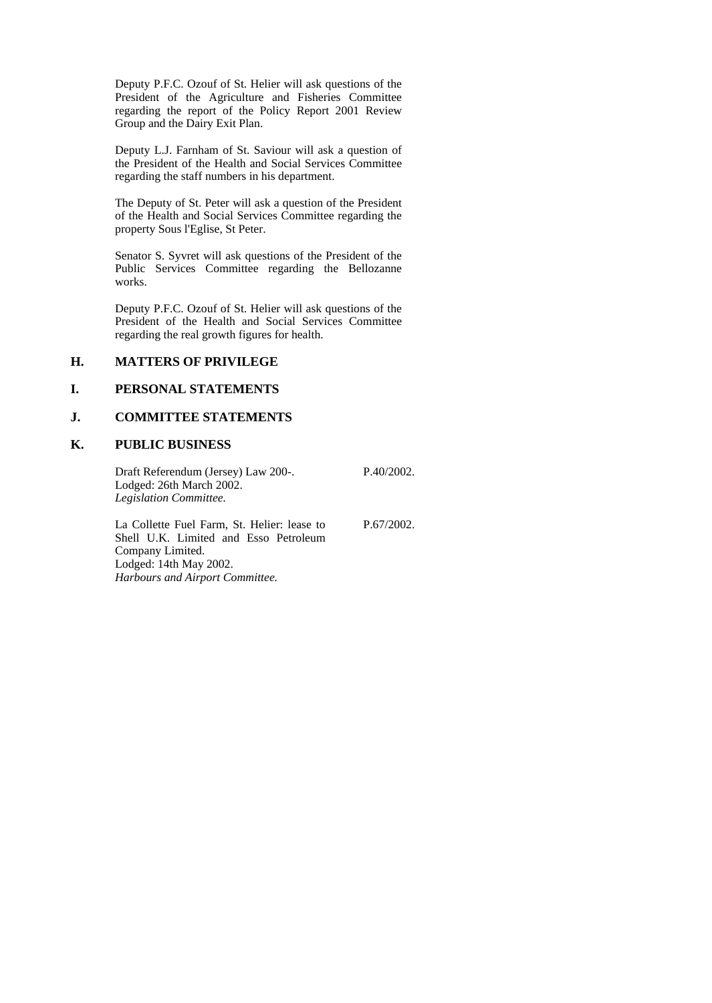Deputy P.F.C. Ozouf of St. Helier will ask questions of the President of the Agriculture and Fisheries Committee regarding the report of the Policy Report 2001 Review Group and the Dairy Exit Plan.

Deputy L.J. Farnham of St. Saviour will ask a question of the President of the Health and Social Services Committee regarding the staff numbers in his department.

The Deputy of St. Peter will ask a question of the President of the Health and Social Services Committee regarding the property Sous l'Eglise, St Peter.

Senator S. Syvret will ask questions of the President of the Public Services Committee regarding the Bellozanne works.

Deputy P.F.C. Ozouf of St. Helier will ask questions of the President of the Health and Social Services Committee regarding the real growth figures for health.

#### **H. MATTERS OF PRIVILEGE**

# **I. PERSONAL STATEMENTS**

# **J. COMMITTEE STATEMENTS**

#### **K. PUBLIC BUSINESS**

Draft Referendum (Jersey) Law 200-. Lodged: 26th March 2002. *Legislation Committee.*

La Collette Fuel Farm, St. Helier: lease to Shell U.K. Limited and Esso Petroleum Company Limited. Lodged: 14th May 2002. *Harbours and Airport Committee.*

P.67/2002.

P.40/2002.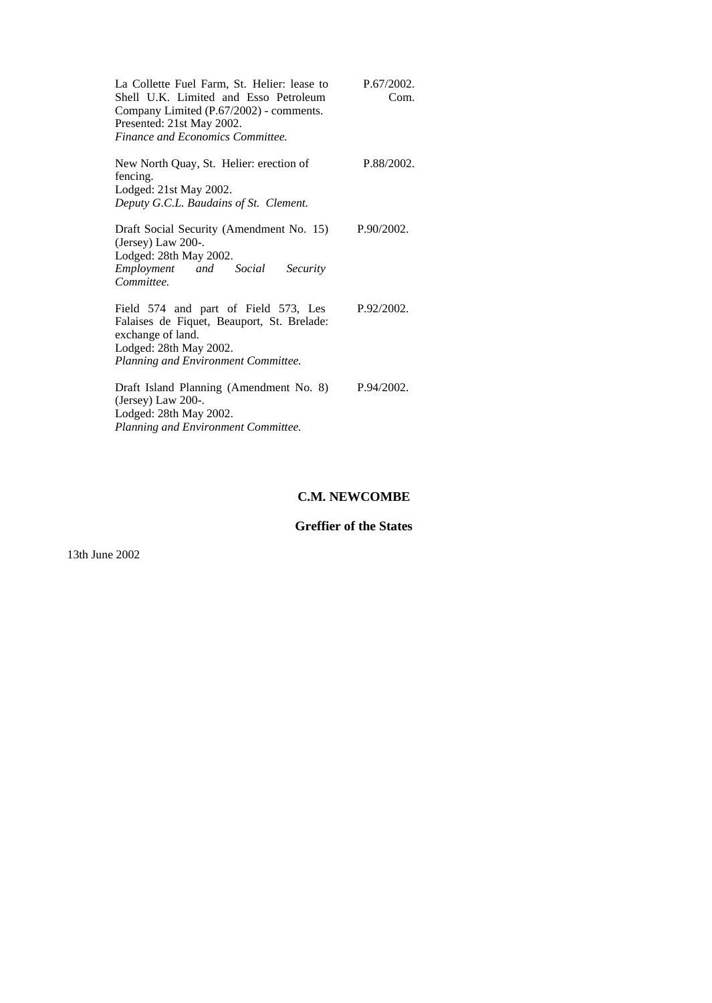| La Collette Fuel Farm, St. Helier: lease to<br>Shell U.K. Limited and Esso Petroleum<br>Company Limited (P.67/2002) - comments.<br>Presented: 21st May 2002.<br><b>Finance and Economics Committee.</b> | P.67/2002.<br>Com. |
|---------------------------------------------------------------------------------------------------------------------------------------------------------------------------------------------------------|--------------------|
| New North Quay, St. Helier: erection of<br>fencing.<br>Lodged: 21st May 2002.<br>Deputy G.C.L. Baudains of St. Clement.                                                                                 | P.88/2002.         |
| Draft Social Security (Amendment No. 15)<br>(Jersey) Law $200$ -.<br>Lodged: 28th May 2002.<br>Employment and Social<br>Security<br>Committee.                                                          | P.90/2002.         |
| Field 574 and part of Field 573, Les<br>Falaises de Fiquet, Beauport, St. Brelade:<br>exchange of land.<br>Lodged: 28th May 2002.<br>Planning and Environment Committee.                                | P.92/2002.         |
| Draft Island Planning (Amendment No. 8)<br>(Jersey) Law $200$ -.<br>Lodged: 28th May 2002.<br>Planning and Environment Committee.                                                                       | P.94/2002.         |

# **C.M. NEWCOMBE**

# **Greffier of the States**

13th June 2002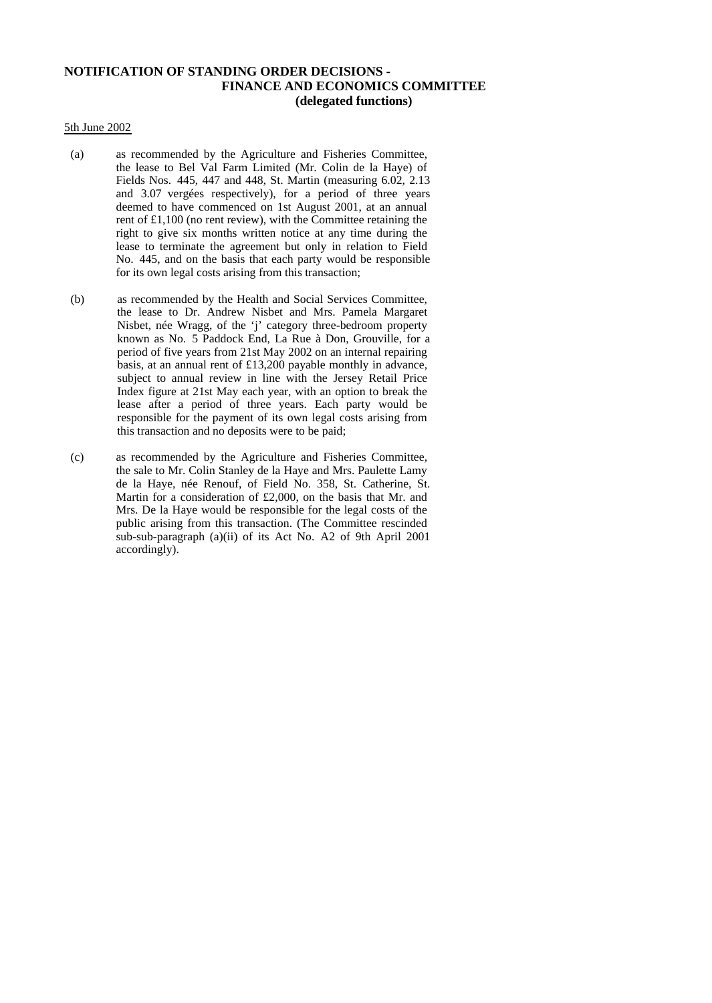# **NOTIFICATION OF STANDING ORDER DECISIONS - FINANCE AND ECONOMICS COMMITTEE (delegated functions)**

#### 5th June 2002

- (a) as recommended by the Agriculture and Fisheries Committee, the lease to Bel Val Farm Limited (Mr. Colin de la Haye) of Fields Nos. 445, 447 and 448, St. Martin (measuring 6.02, 2.13 and 3.07 vergées respectively), for a period of three years deemed to have commenced on 1st August 2001, at an annual rent of £1,100 (no rent review), with the Committee retaining the right to give six months written notice at any time during the lease to terminate the agreement but only in relation to Field No. 445, and on the basis that each party would be responsible for its own legal costs arising from this transaction;
- (b) as recommended by the Health and Social Services Committee, the lease to Dr. Andrew Nisbet and Mrs. Pamela Margaret Nisbet, née Wragg, of the 'j' category three-bedroom property known as No. 5 Paddock End, La Rue à Don, Grouville, for a period of five years from 21st May 2002 on an internal repairing basis, at an annual rent of £13,200 payable monthly in advance, subject to annual review in line with the Jersey Retail Price Index figure at 21st May each year, with an option to break the lease after a period of three years. Each party would be responsible for the payment of its own legal costs arising from this transaction and no deposits were to be paid;
- (c) as recommended by the Agriculture and Fisheries Committee, the sale to Mr. Colin Stanley de la Haye and Mrs. Paulette Lamy de la Haye, née Renouf, of Field No. 358, St. Catherine, St. Martin for a consideration of £2,000, on the basis that Mr. and Mrs. De la Haye would be responsible for the legal costs of the public arising from this transaction. (The Committee rescinded sub-sub-paragraph (a)(ii) of its Act No. A2 of 9th April 2001 accordingly).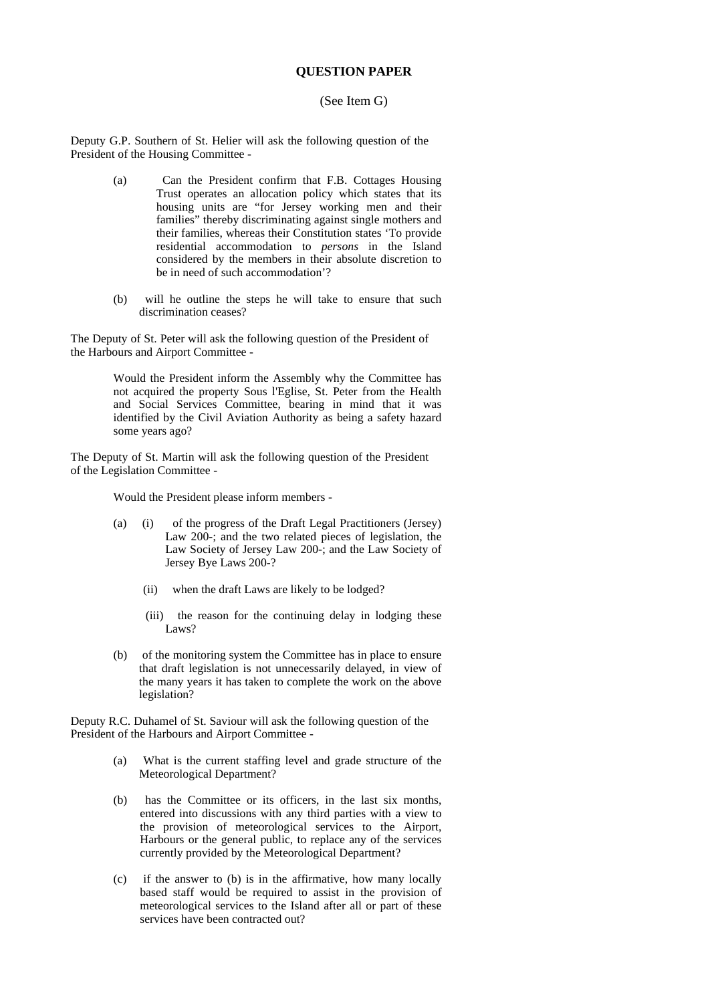### **QUESTION PAPER**

#### (See Item G)

Deputy G.P. Southern of St. Helier will ask the following question of the President of the Housing Committee -

- (a) Can the President confirm that F.B. Cottages Housing Trust operates an allocation policy which states that its housing units are "for Jersey working men and their families" thereby discriminating against single mothers and their families, whereas their Constitution states 'To provide residential accommodation to *persons* in the Island considered by the members in their absolute discretion to be in need of such accommodation'?
- (b) will he outline the steps he will take to ensure that such discrimination ceases?

The Deputy of St. Peter will ask the following question of the President of the Harbours and Airport Committee -

> Would the President inform the Assembly why the Committee has not acquired the property Sous l'Eglise, St. Peter from the Health and Social Services Committee, bearing in mind that it was identified by the Civil Aviation Authority as being a safety hazard some years ago?

The Deputy of St. Martin will ask the following question of the President of the Legislation Committee -

Would the President please inform members -

- (a) (i) of the progress of the Draft Legal Practitioners (Jersey) Law 200-; and the two related pieces of legislation, the Law Society of Jersey Law 200-; and the Law Society of Jersey Bye Laws 200-?
	- (ii) when the draft Laws are likely to be lodged?
	- (iii) the reason for the continuing delay in lodging these Laws?
- (b) of the monitoring system the Committee has in place to ensure that draft legislation is not unnecessarily delayed, in view of the many years it has taken to complete the work on the above legislation?

Deputy R.C. Duhamel of St. Saviour will ask the following question of the President of the Harbours and Airport Committee -

- (a) What is the current staffing level and grade structure of the Meteorological Department?
- (b) has the Committee or its officers, in the last six months, entered into discussions with any third parties with a view to the provision of meteorological services to the Airport, Harbours or the general public, to replace any of the services currently provided by the Meteorological Department?
- (c) if the answer to (b) is in the affirmative, how many locally based staff would be required to assist in the provision of meteorological services to the Island after all or part of these services have been contracted out?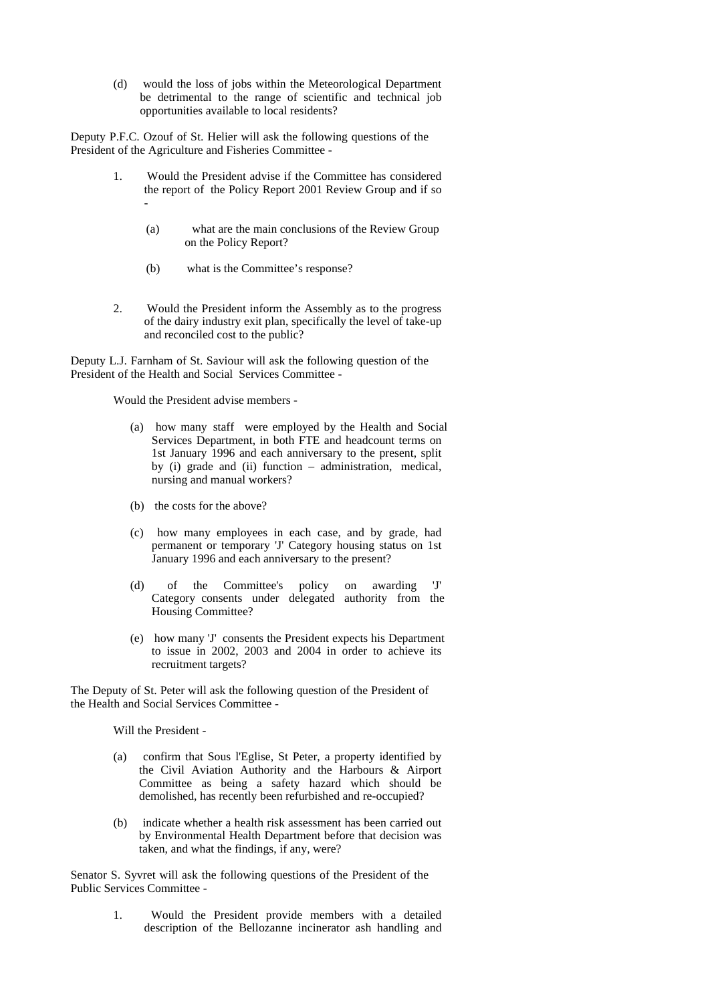(d) would the loss of jobs within the Meteorological Department be detrimental to the range of scientific and technical job opportunities available to local residents?

Deputy P.F.C. Ozouf of St. Helier will ask the following questions of the President of the Agriculture and Fisheries Committee -

- 1. Would the President advise if the Committee has considered the report of the Policy Report 2001 Review Group and if so -
	- (a) what are the main conclusions of the Review Group on the Policy Report?
	- (b) what is the Committee's response?
- 2. Would the President inform the Assembly as to the progress of the dairy industry exit plan, specifically the level of take-up and reconciled cost to the public?

Deputy L.J. Farnham of St. Saviour will ask the following question of the President of the Health and Social Services Committee -

Would the President advise members -

- (a) how many staff were employed by the Health and Social Services Department, in both FTE and headcount terms on 1st January 1996 and each anniversary to the present, split by (i) grade and (ii) function – administration, medical, nursing and manual workers?
- (b) the costs for the above?
- (c) how many employees in each case, and by grade, had permanent or temporary 'J' Category housing status on 1st January 1996 and each anniversary to the present?
- (d) of the Committee's policy on awarding 'J' Category consents under delegated authority from the Housing Committee?
- (e) how many 'J' consents the President expects his Department to issue in 2002, 2003 and 2004 in order to achieve its recruitment targets?

The Deputy of St. Peter will ask the following question of the President of the Health and Social Services Committee -

Will the President -

- (a) confirm that Sous l'Eglise, St Peter, a property identified by the Civil Aviation Authority and the Harbours & Airport Committee as being a safety hazard which should be demolished, has recently been refurbished and re-occupied?
- (b) indicate whether a health risk assessment has been carried out by Environmental Health Department before that decision was taken, and what the findings, if any, were?

Senator S. Syvret will ask the following questions of the President of the Public Services Committee -

> 1. Would the President provide members with a detailed description of the Bellozanne incinerator ash handling and